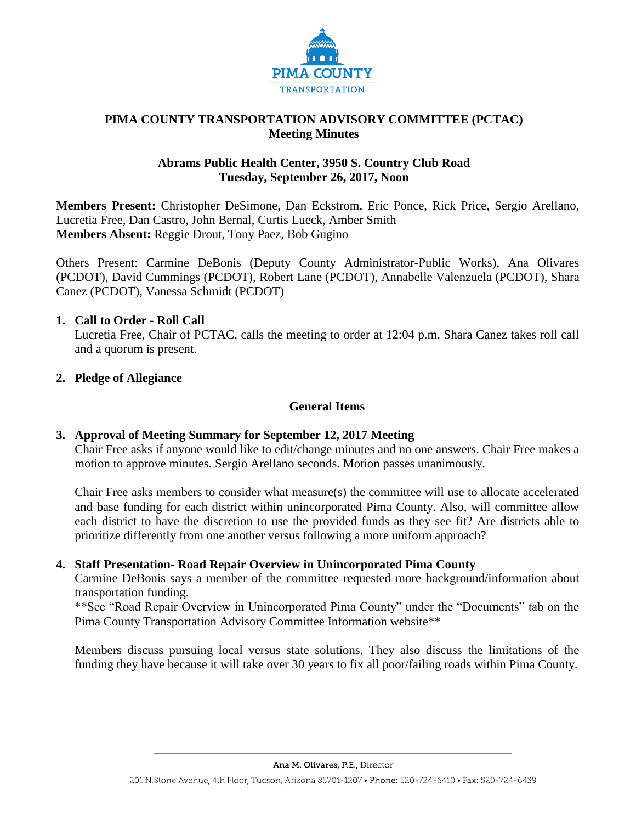

# **PIMA COUNTY TRANSPORTATION ADVISORY COMMITTEE (PCTAC) Meeting Minutes**

### **Abrams Public Health Center, 3950 S. Country Club Road Tuesday, September 26, 2017, Noon**

**Members Present:** Christopher DeSimone, Dan Eckstrom, Eric Ponce, Rick Price, Sergio Arellano, Lucretia Free, Dan Castro, John Bernal, Curtis Lueck, Amber Smith **Members Absent:** Reggie Drout, Tony Paez, Bob Gugino

Others Present: Carmine DeBonis (Deputy County Administrator-Public Works), Ana Olivares (PCDOT), David Cummings (PCDOT), Robert Lane (PCDOT), Annabelle Valenzuela (PCDOT), Shara Canez (PCDOT), Vanessa Schmidt (PCDOT)

### **1. Call to Order - Roll Call**

Lucretia Free, Chair of PCTAC, calls the meeting to order at 12:04 p.m. Shara Canez takes roll call and a quorum is present.

### **2. Pledge of Allegiance**

### **General Items**

# **3. Approval of Meeting Summary for September 12, 2017 Meeting**

Chair Free asks if anyone would like to edit/change minutes and no one answers. Chair Free makes a motion to approve minutes. Sergio Arellano seconds. Motion passes unanimously.

Chair Free asks members to consider what measure(s) the committee will use to allocate accelerated and base funding for each district within unincorporated Pima County. Also, will committee allow each district to have the discretion to use the provided funds as they see fit? Are districts able to prioritize differently from one another versus following a more uniform approach?

### **4. Staff Presentation- Road Repair Overview in Unincorporated Pima County**

Carmine DeBonis says a member of the committee requested more background/information about transportation funding.

\*\*See "Road Repair Overview in Unincorporated Pima County" under the "Documents" tab on the Pima County Transportation Advisory Committee Information website\*\*

Members discuss pursuing local versus state solutions. They also discuss the limitations of the funding they have because it will take over 30 years to fix all poor/failing roads within Pima County.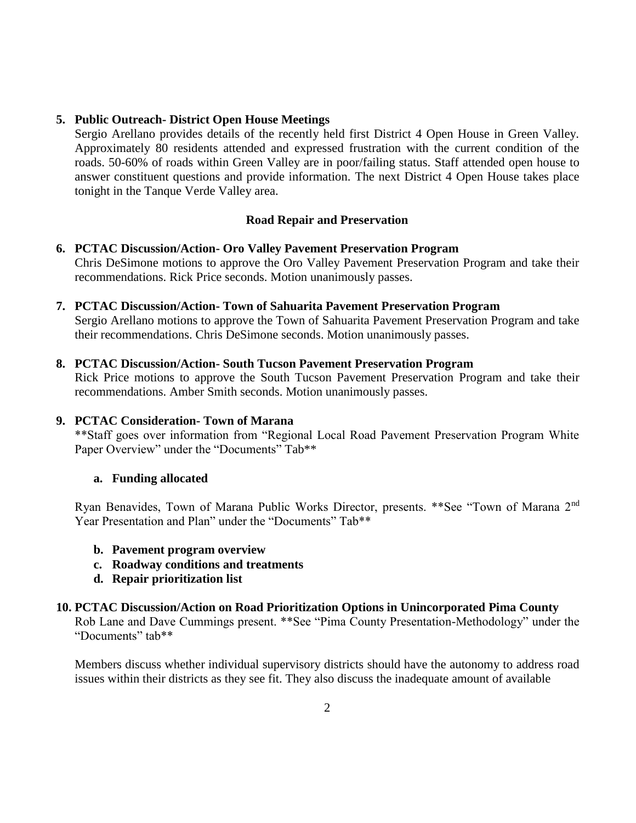### **5. Public Outreach- District Open House Meetings**

Sergio Arellano provides details of the recently held first District 4 Open House in Green Valley. Approximately 80 residents attended and expressed frustration with the current condition of the roads. 50-60% of roads within Green Valley are in poor/failing status. Staff attended open house to answer constituent questions and provide information. The next District 4 Open House takes place tonight in the Tanque Verde Valley area.

### **Road Repair and Preservation**

### **6. PCTAC Discussion/Action- Oro Valley Pavement Preservation Program** Chris DeSimone motions to approve the Oro Valley Pavement Preservation Program and take their recommendations. Rick Price seconds. Motion unanimously passes.

# **7. PCTAC Discussion/Action- Town of Sahuarita Pavement Preservation Program**

Sergio Arellano motions to approve the Town of Sahuarita Pavement Preservation Program and take their recommendations. Chris DeSimone seconds. Motion unanimously passes.

### **8. PCTAC Discussion/Action- South Tucson Pavement Preservation Program**

Rick Price motions to approve the South Tucson Pavement Preservation Program and take their recommendations. Amber Smith seconds. Motion unanimously passes.

### **9. PCTAC Consideration- Town of Marana**

\*\*Staff goes over information from "Regional Local Road Pavement Preservation Program White Paper Overview" under the "Documents" Tab\*\*

### **a. Funding allocated**

Ryan Benavides, Town of Marana Public Works Director, presents. \*\*See "Town of Marana 2nd Year Presentation and Plan" under the "Documents" Tab\*\*

- **b. Pavement program overview**
- **c. Roadway conditions and treatments**
- **d. Repair prioritization list**

### **10. PCTAC Discussion/Action on Road Prioritization Options in Unincorporated Pima County**

Rob Lane and Dave Cummings present. \*\*See "Pima County Presentation-Methodology" under the "Documents" tab\*\*

Members discuss whether individual supervisory districts should have the autonomy to address road issues within their districts as they see fit. They also discuss the inadequate amount of available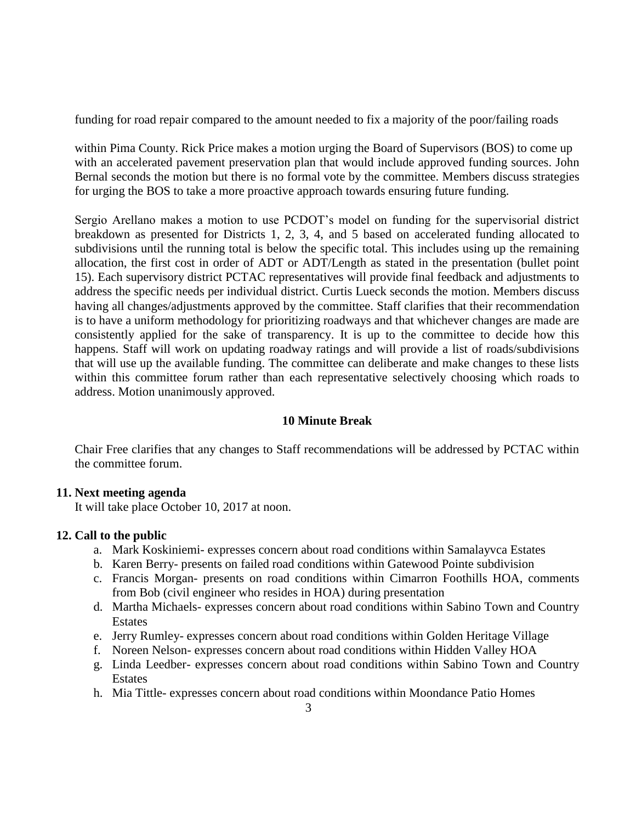funding for road repair compared to the amount needed to fix a majority of the poor/failing roads

within Pima County. Rick Price makes a motion urging the Board of Supervisors (BOS) to come up with an accelerated pavement preservation plan that would include approved funding sources. John Bernal seconds the motion but there is no formal vote by the committee. Members discuss strategies for urging the BOS to take a more proactive approach towards ensuring future funding.

Sergio Arellano makes a motion to use PCDOT's model on funding for the supervisorial district breakdown as presented for Districts 1, 2, 3, 4, and 5 based on accelerated funding allocated to subdivisions until the running total is below the specific total. This includes using up the remaining allocation, the first cost in order of ADT or ADT/Length as stated in the presentation (bullet point 15). Each supervisory district PCTAC representatives will provide final feedback and adjustments to address the specific needs per individual district. Curtis Lueck seconds the motion. Members discuss having all changes/adjustments approved by the committee. Staff clarifies that their recommendation is to have a uniform methodology for prioritizing roadways and that whichever changes are made are consistently applied for the sake of transparency. It is up to the committee to decide how this happens. Staff will work on updating roadway ratings and will provide a list of roads/subdivisions that will use up the available funding. The committee can deliberate and make changes to these lists within this committee forum rather than each representative selectively choosing which roads to address. Motion unanimously approved.

# **10 Minute Break**

Chair Free clarifies that any changes to Staff recommendations will be addressed by PCTAC within the committee forum.

### **11. Next meeting agenda**

It will take place October 10, 2017 at noon.

# **12. Call to the public**

- a. Mark Koskiniemi- expresses concern about road conditions within Samalayvca Estates
- b. Karen Berry- presents on failed road conditions within Gatewood Pointe subdivision
- c. Francis Morgan- presents on road conditions within Cimarron Foothills HOA, comments from Bob (civil engineer who resides in HOA) during presentation
- d. Martha Michaels- expresses concern about road conditions within Sabino Town and Country Estates
- e. Jerry Rumley- expresses concern about road conditions within Golden Heritage Village
- f. Noreen Nelson- expresses concern about road conditions within Hidden Valley HOA
- g. Linda Leedber- expresses concern about road conditions within Sabino Town and Country **Estates**
- h. Mia Tittle- expresses concern about road conditions within Moondance Patio Homes